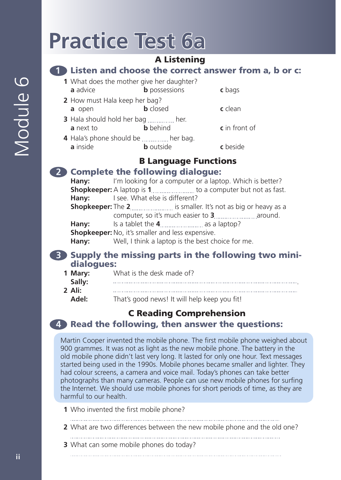# **Practice Test 6a**

# A Listening

#### **1** Listen and choose the correct answer from a, b or c:

- **1** What does the mother give her daughter? **a** advice **b** possessions **c** bags
- **2** How must Hala keep her bag? **a** open **b** closed **c** clean
- **3** Hala should hold her bag *manumum* her. **a** next to **b** behind **c** in front of
- **4** Hala's phone should be heard the bag. **a** inside **b** outside **c** beside

# B Language Functions

#### **2** Complete the following dialogue:

**Hany:** I'm looking for a computer or a laptop. Which is better? **Shopkeeper:** A laptop is **1** *macharomassima to a computer but not as fast.* **Hany:** I see. What else is different? **Shopkeeper:** The **2** *inferentially* is smaller. It's not as big or heavy as a computer, so it's much easier to **3** and a series around. **Hany:** Is a tablet the **4** *Inferentially* as a laptop? **Shopkeeper:** No, it's smaller and less expensive.

**Hany:** Well, I think a laptop is the best choice for me.

#### **3** Supply the missing parts in the following two minidialogues:

**1 Mary:** What is the desk made of? **Sally:** . **2 Ali:** Adel: That's good news! It will help keep you fit!

## C Reading Comprehension

## **4** Read the following, then answer the questions:

Martin Cooper invented the mobile phone. The first mobile phone weighed about 900 grammes. It was not as light as the new mobile phone. The battery in the old mobile phone didn't last very long. It lasted for only one hour. Text messages started being used in the 1990s. Mobile phones became smaller and lighter. They had colour screens, a camera and voice mail. Today's phones can take better photographs than many cameras. People can use new mobile phones for surfing the Internet. We should use mobile phones for short periods of time, as they are harmful to our health.

- **1** Who invented the first mobile phone?
- **2** What are two differences between the new mobile phone and the old one?
- 
- **3** What can some mobile phones do today?
	-